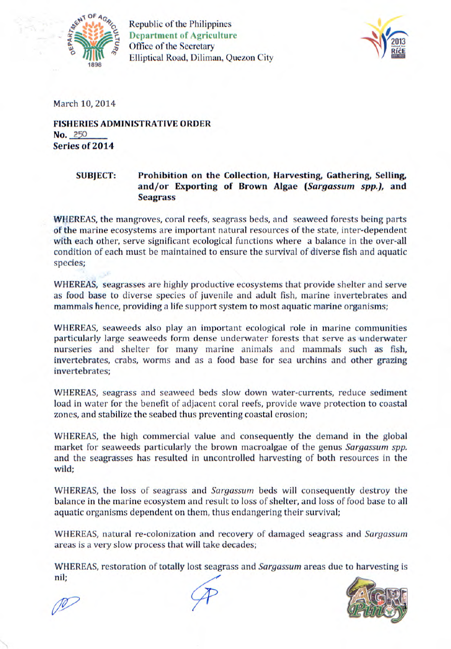

Republic of the Philippines **Department of Agriculture**  Office of the Secretary **Elliptical Road, Diliman, Quezon City** 



March 10, 2014

**FISHERIES ADMINISTRATIVE ORDER No.** *250*  Series of 2014

## SUBJECT: Prohibition on the Collection, Harvesting, Gathering, Selling, and/or Exporting of Brown Algae *(Sargassum spp.),* and **Seagrass**

WHEREAS, the mangroves, coral reefs, seagrass beds, and seaweed forests being parts of the marine ecosystems are important natural resources of the state, inter-dependent with each other, serve significant ecological functions where a balance in the over-all condition of each must be maintained to ensure the survival of diverse fish and aquatic species;

WHEREAS, seagrasses are highly productive ecosystems that provide shelter and serve as food base to diverse species of juvenile and adult fish, marine invertebrates and mammals hence, providing a life support system to most aquatic marine organisms;

WHEREAS, seaweeds also play an important ecological role in marine communities particularly large seaweeds form dense underwater forests that serve as underwater nurseries and shelter for many marine animals and mammals such as fish, invertebrates, crabs, worms and as a food base for sea urchins and other grazing invertebrates;

WHEREAS, seagrass and seaweed beds slow down water-currents, reduce sediment load in water for the benefit of adjacent coral reefs, provide wave protection to coastal zones, and stabilize the seabed thus preventing coastal erosion;

WHEREAS, the high commercial value and consequently the demand in the global market for seaweeds particularly the brown macroalgae of the genus *Sargassum spp.*  and the seagrasses has resulted in uncontrolled harvesting of both resources in the wild;

WHEREAS, the loss of seagrass and *Sargassum* beds will consequently destroy the balance in the marine ecosystem and result to loss of shelter, and loss of food base to all aquatic organisms dependent on them, thus endangering their survival;

WHEREAS, natural re-colonization and recovery of damaged seagrass and *Sargassum*  areas is a very slow process that will take decades;

WhEREAS, restoration of totally lost seagrass and *Sargassum* areas due to harvesting is nil;



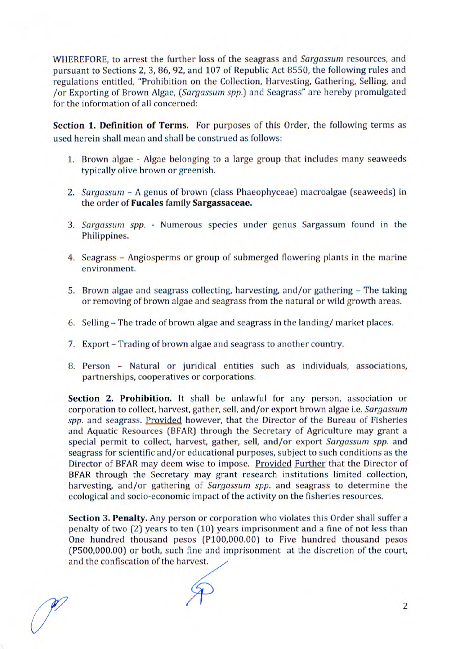WHEREFORE, to arrest the further loss of the seagrass and *Sargassum* resources, and pursuant to Sections 2, 3, 86, 92, and 107 of Republic Act 8550, the following rules and regulations entitled, "Prohibition on the Collection, Harvesting, Gathering, Selling, and /or Exporting of Brown Algae, *(Sargassum spp.)* and Seagrass" are hereby promulgated for the information of all concerned:

Section **1. Definition of Terms.** For purposes of this Order, the following terms as used herein shall mean and shall be construed as follows:

- 1. Brown algae Algae belonging to a large group that includes many seaweeds typically olive brown or greenish.
- *2. Sargassum*  A genus of brown (class Phaeophyceae) macroalgae (seaweeds) in the order of Fucales family Sargassaceae.
- *3. Sargassum spp.*  Numerous species under genus Sargassum found in the Philippines.
- 4. Seagrass Angiosperms or group of submerged flowering plants in the marine environment.
- 5. Brown algae and seagrass collecting, harvesting, and/or gathering The taking or removing of brown algae and seagrass from the natural or wild growth areas.
- 6. Selling The trade of brown algae and seagrass in the landing/ market places.
- 7. Export Trading of brown algae and seagrass to another country.
- 8. Person Natural or juridical entities such as individuals, associations, partnerships, cooperatives or corporations.

**Section 2. Prohibition.** It shall be unlawful for any person, association or corporation to collect, harvest, gather, sell, and/or export brown algae i.e. *Sargassum*  spp. and seagrass. Provided however, that the Director of the Bureau of Fisheries and Aquatic Resources (BFAR) through the Secretary of Agriculture may grant a special permit to collect, harvest, gather, sell, and/or export *Sargassum spp.* and seagrass for scientific and/or educational purposes, subject to such conditions as the Director of BFAR may deem wise to impose. Provided Further that the Director of BFAR through the Secretary may grant research institutions limited collection, harvesting, and/or gathering of *Sargassum spp.* and seagrass to determine the ecological and socio-economic impact of the activity on the fisheries resources.

Section **3. Penalty.** Any person or corporation who violates this Order shall suffer a penalty of two (2) years to ten (10) years imprisonment and a fine of not less than One hundred thousand pesos (P100,000.00) to Five hundred thousand pesos (P500,000.00) or both, such fine and imprisonment at the discretion of the court, One hundred thousand pesos (P100,000)<br>(P500,000.00) or both, such fine and impident the confiscation of the harvest.

 $\mathscr{P}$